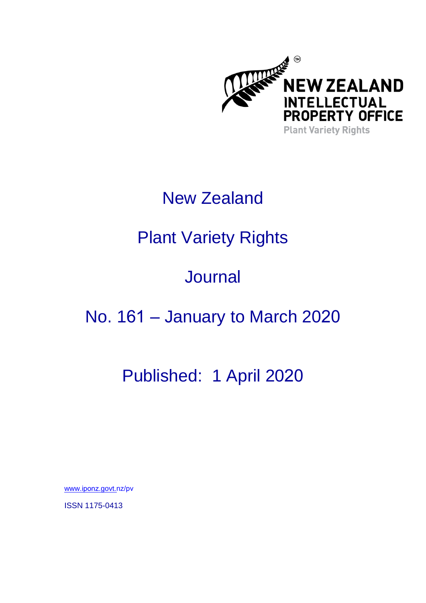

# New Zealand

# Plant Variety Rights

# **Journal**

### No. 161 – January to March 2020

### Published: 1 April 2020

www.iponz[.govt.n](https://www.iponz.govt.nz/pvr)z/pv

ISSN 1175-0413